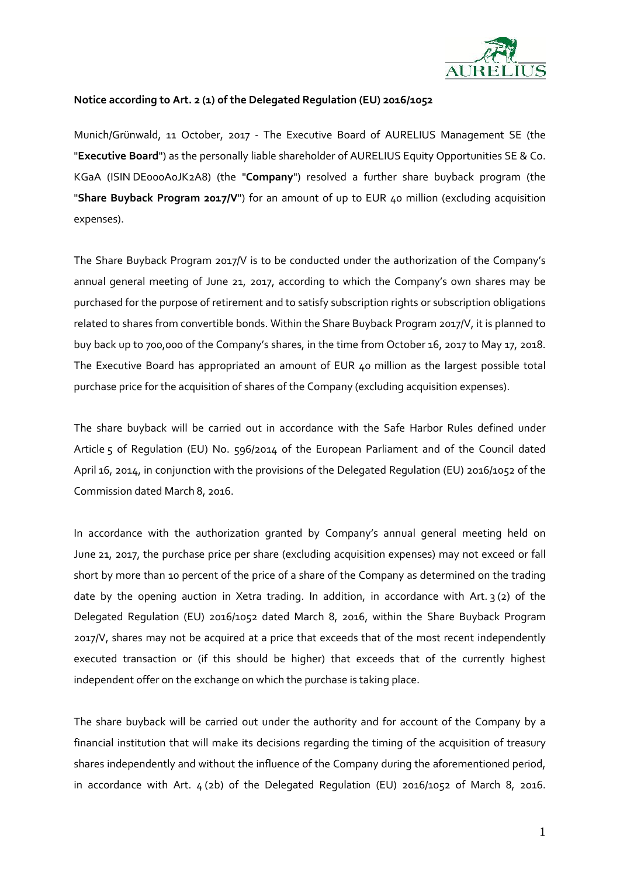

## **Notice according to Art.2 (1) of the Delegated Regulation (EU) 2016/1052**

Munich/Grünwald, 11 October, 2017 - The Executive Board of AURELIUS Management SE (the "**Executive Board**") as the personally liable shareholder of AURELIUS Equity Opportunities SE & Co. KGaA (ISIN DE000A0JK2A8) (the "**Company**") resolved a further share buyback program (the "**Share Buyback Program 2017/V**") for an amount of up to EUR 40 million (excluding acquisition expenses).

The Share Buyback Program 2017/V is to be conducted under the authorization of the Company's annual general meeting of June 21, 2017, according to which the Company's own shares may be purchased for the purpose of retirement and to satisfy subscription rights or subscription obligations related to shares from convertible bonds. Within the Share Buyback Program 2017/V, it is planned to buy back up to 700,000 of the Company's shares, in the time from October16, 2017 to May 17, 2018. The Executive Board has appropriated an amount of EUR 40 million as the largest possible total purchase price for the acquisition of shares of the Company (excluding acquisition expenses).

The share buyback will be carried out in accordance with the Safe Harbor Rules defined under Article 5 of Regulation (EU) No. 596/2014 of the European Parliament and of the Council dated April 16, 2014, in conjunction with the provisions of the Delegated Regulation (EU) 2016/1052 of the Commission dated March 8, 2016.

In accordance with the authorization granted by Company's annual general meeting held on June 21, 2017, the purchase price per share (excluding acquisition expenses) may not exceed or fall short by more than 10 percent of the price of a share of the Company as determined on the trading date by the opening auction in Xetra trading. In addition, in accordance with Art. 3 (2) of the Delegated Regulation (EU) 2016/1052 dated March 8, 2016, within the Share Buyback Program 2017/V, shares may not be acquired at a price that exceeds that of the most recent independently executed transaction or (if this should be higher) that exceeds that of the currently highest independent offer on the exchange on which the purchase is taking place.

The share buyback will be carried out under the authority and for account of the Company by a financial institution that will make its decisions regarding the timing of the acquisition of treasury shares independently and without the influence of the Company during the aforementioned period, in accordance with Art.  $4(2b)$  of the Delegated Regulation (EU) 2016/1052 of March 8, 2016.